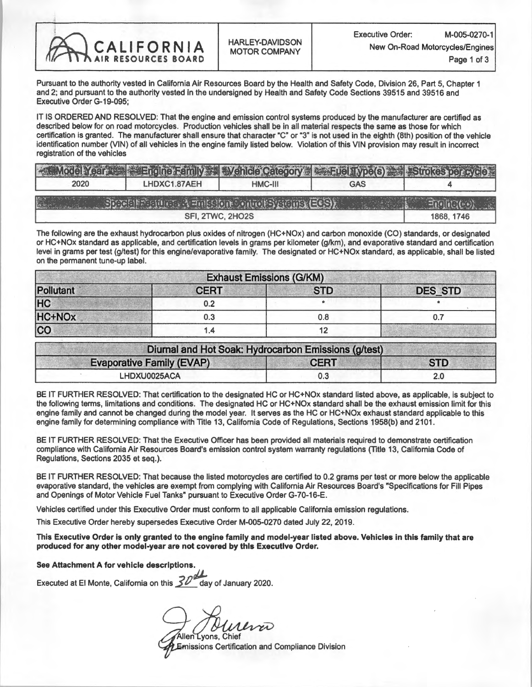

Pursuant to the authority vested in California Air Resources Board by the Health and Safety Code, Division 26, Part 5, Chapter 1 and 2; and pursuant to the authority vested in the undersigned by Health and Safety Code Sections 39515 and 39516 and Executive Order G-19-095;

IT IS ORDERED AND RESOLVED: That the engine and emission control systems produced by the manufacturer are certified as described below for on road motorcycles. Production vehicles shall be in all material respects the same as those for which certification is granted. The manufacturer shall ensure that character "C" or "3" is not used in the eighth (8th) position of the vehicle identification number (VIN) of all vehicles in the engine family listed below. Violation of this VIN provision may result in incorrect registration of the vehicles

|      | <b>A Model Year War Family A Wehicle Category A Fuel Type(s)</b> Strokes per cycle                                                                                                                                                  |         |     |            |
|------|-------------------------------------------------------------------------------------------------------------------------------------------------------------------------------------------------------------------------------------|---------|-----|------------|
| 2020 | LHDXC1.87AEH                                                                                                                                                                                                                        | HMC-III | GAS |            |
|      | $Sing$ $\mathbb{R}$ $\mathbb{R}$ $\mathbb{R}$ $\mathbb{R}$ $\mathbb{R}$ $\mathbb{R}$ $\mathbb{R}$ $\mathbb{R}$ $\mathbb{R}$ $\mathbb{R}$ $\mathbb{R}$ $\mathbb{R}$ $\mathbb{R}$ $\mathbb{R}$ $\mathbb{R}$ $\mathbb{R}$ $\mathbb{R}$ |         |     |            |
|      | SFI, 2TWC, 2HO2S                                                                                                                                                                                                                    |         |     | 1868. 1746 |

The following are the exhaust hydrocarbon plus oxides of nitrogen (HC+NOx) and carbon monoxide (CO) standards, or designated or HC+NOx standard as applicable, and certification levels in grams per kilometer (g/km), and evaporative standard and certification level in grams per test (g/test) for this engine/evaporative family. The designated or HC+NOx standard, as applicable, shall be listed on the permanent tune-up label.

| <b>Exhaust Emissions (G/KM)</b> |             |            |                |  |  |  |
|---------------------------------|-------------|------------|----------------|--|--|--|
| Pollutant                       | <b>CERT</b> | <b>STD</b> | <b>DES_STD</b> |  |  |  |
| HC                              | 0.2         |            |                |  |  |  |
| HC+NOx                          | 0.3         | 0.8        |                |  |  |  |
| $\overline{\text{co}}$          | ۹. ا        |            |                |  |  |  |

| Diurnal and Hot Soak: Hydrocarbon Emissions (g/test) |             |            |  |
|------------------------------------------------------|-------------|------------|--|
| <b>Evaporative Family (EVAP)</b>                     | <b>CERT</b> | <b>STD</b> |  |
| LHDXU0025ACA                                         | 0.3         |            |  |

BE IT FURTHER RESOLVED: That certification to the designated HC or HC+NOx standard listed above, as applicable, is subject to the following terms, limitations and conditions. The designated HC or HC+NOx standard shall be the exhaust emission limit for this engine family and cannot be changed during the model year. It serves as the HC or HC+NOx exhaust standard applicable to this engine family for determining compliance with Title 13, California Code of Regulations, Sections 1958(b) and 2101.

BE IT FURTHER RESOLVED: That the Executive Officer has been provided all materials required to demonstrate certification compliance with California Air Resources Board's emission control system warranty regulations (Title 13, California Code of Regulations, Sections 2035 et seq.).

BE IT FURTHER RESOLVED: That because the listed motorcycles are certified to 0.2 grams per test or more below the applicable evaporative standard, the vehicles are exempt from complying with California Air Resources Board's "Specifications for Fill Pipes and Openings of Motor Vehicle Fuel Tanks" pursuant to Executive Order G-70-16-E.

Vehicles certified under this Executive Order must conform to all applicable California emission regulations.

This Executive Order hereby supersedes Executive Order M-005-0270 dated July 22, 2019.

This Executive Order is only granted to the engine family and model-year listed above. Vehicles in this family that are produced for any other model-year are not covered by this Executive Order.

See Attachment A for vehicle descriptions.

Executed at El Monte, California on this  $\cancel{30^\alpha}$  day of January 2020.

Allen Lyons, Chief

Emissions Certification and Compliance Division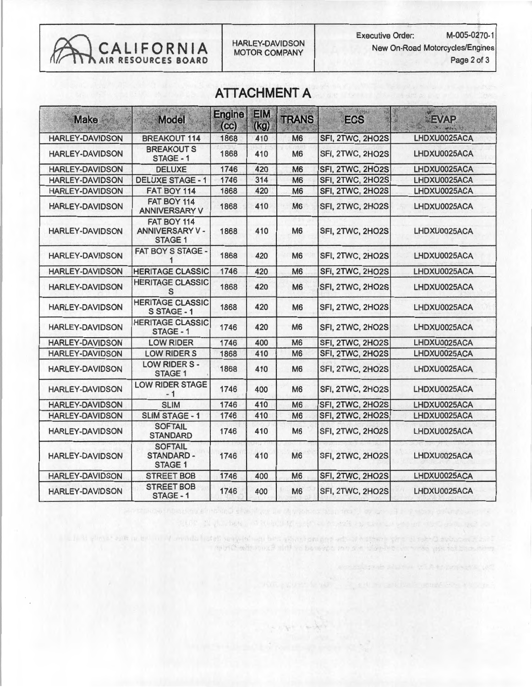CALIFORNIA MOTOR COMPANY New On-Road Motorcycles/Engines

## ATTACHMENT A

| <b>Make</b>            | <b>Model</b>                                           | <b>Engine</b><br>(cc) | <b>EIM</b><br>(kg) | <b>TRANS</b>   | <b>SPIA</b><br><b>ECS</b> | EVAP         |
|------------------------|--------------------------------------------------------|-----------------------|--------------------|----------------|---------------------------|--------------|
| <b>HARLEY-DAVIDSON</b> | <b>BREAKOUT 114</b>                                    | 1868                  | 410                | M <sub>6</sub> | SFI, 2TWC, 2HO2S          | LHDXU0025ACA |
| <b>HARLEY-DAVIDSON</b> | <b>BREAKOUTS</b><br>STAGE - 1                          | 1868                  | 410                | M <sub>6</sub> | SFI, 2TWC, 2HO2S          | LHDXU0025ACA |
| <b>HARLEY-DAVIDSON</b> | <b>DELUXE</b>                                          | 1746                  | 420                | M <sub>6</sub> | SFI, 2TWC, 2HO2S          | LHDXU0025ACA |
| <b>HARLEY-DAVIDSON</b> | <b>DELUXE STAGE - 1</b>                                | 1746                  | 314                | M <sub>6</sub> | SFI, 2TWC, 2HO2S          | LHDXU0025ACA |
| <b>HARLEY-DAVIDSON</b> | FAT BOY 114                                            | 1868                  | 420                | M <sub>6</sub> | SFI, 2TWC, 2HO2S          | LHDXU0025ACA |
| <b>HARLEY-DAVIDSON</b> | FAT BOY 114<br><b>ANNIVERSARY V</b>                    | 1868                  | 410                | <b>M6</b>      | SFI, 2TWC, 2HO2S          | LHDXU0025ACA |
| <b>HARLEY-DAVIDSON</b> | FAT BOY 114<br><b>ANNIVERSARY V-</b><br><b>STAGE 1</b> | 1868                  | 410                | <b>M6</b>      | SFI, 2TWC, 2HO2S          | LHDXU0025ACA |
| <b>HARLEY-DAVIDSON</b> | FAT BOY S STAGE -                                      | 1868                  | 420                | <b>M6</b>      | SFI, 2TWC, 2HO2S          | LHDXU0025ACA |
| <b>HARLEY-DAVIDSON</b> | <b>HERITAGE CLASSIC</b>                                | 1746                  | 420                | M <sub>6</sub> | SFI, 2TWC, 2HO2S          | LHDXU0025ACA |
| <b>HARLEY-DAVIDSON</b> | <b>HERITAGE CLASSIC</b><br>S                           | 1868                  | 420                | <b>M6</b>      | SFI, 2TWC, 2HO2S          | LHDXU0025ACA |
| <b>HARLEY-DAVIDSON</b> | <b>HERITAGE CLASSIC</b><br>S STAGE - 1                 | 1868                  | 420                | <b>M6</b>      | SFI, 2TWC, 2HO2S          | LHDXU0025ACA |
| <b>HARLEY-DAVIDSON</b> | <b>HERITAGE CLASSIC</b><br>STAGE - 1                   | 1746                  | 420                | <b>M6</b>      | SFI, 2TWC, 2HO2S          | LHDXU0025ACA |
| <b>HARLEY-DAVIDSON</b> | <b>LOW RIDER</b>                                       | 1746                  | 400                | M <sub>6</sub> | SFI, 2TWC, 2HO2S          | LHDXU0025ACA |
| <b>HARLEY-DAVIDSON</b> | <b>LOW RIDER S</b>                                     | 1868                  | 410                | <b>M6</b>      | SFI, 2TWC, 2HO2S          | LHDXU0025ACA |
| <b>HARLEY-DAVIDSON</b> | LOW RIDER S -<br><b>STAGE 1</b>                        | 1868                  | 410                | M <sub>6</sub> | SFI, 2TWC, 2HO2S          | LHDXU0025ACA |
| <b>HARLEY-DAVIDSON</b> | <b>LOW RIDER STAGE</b><br>$-1$                         | 1746                  | 400                | M <sub>6</sub> | SFI, 2TWC, 2HO2S          | LHDXU0025ACA |
| <b>HARLEY-DAVIDSON</b> | <b>SLIM</b>                                            | 1746                  | 410                | <b>M6</b>      | SFI, 2TWC, 2HO2S          | LHDXU0025ACA |
| <b>HARLEY-DAVIDSON</b> | <b>SLIM STAGE - 1</b>                                  | 1746                  | 410                | <b>M6</b>      | SFI, 2TWC, 2HO2S          | LHDXU0025ACA |
| <b>HARLEY-DAVIDSON</b> | <b>SOFTAIL</b><br><b>STANDARD</b>                      | 1746                  | 410                | M <sub>6</sub> | SFI, 2TWC, 2HO2S          | LHDXU0025ACA |
| <b>HARLEY-DAVIDSON</b> | <b>SOFTAIL</b><br>STANDARD -<br><b>STAGE 1</b>         | 1746                  | 410                | M <sub>6</sub> | SFI, 2TWC, 2HO2S          | LHDXU0025ACA |
| <b>HARLEY-DAVIDSON</b> | <b>STREET BOB</b>                                      | 1746                  | 400                | M <sub>6</sub> | SFI, 2TWC, 2HO2S          | LHDXU0025ACA |
| <b>HARLEY-DAVIDSON</b> | <b>STREET BOB</b><br>STAGE - 1                         | 1746                  | 400                | <b>M6</b>      | SFI, 2TWC, 2HO2S          | LHDXU0025ACA |

approximation of the state of the same state with the state of